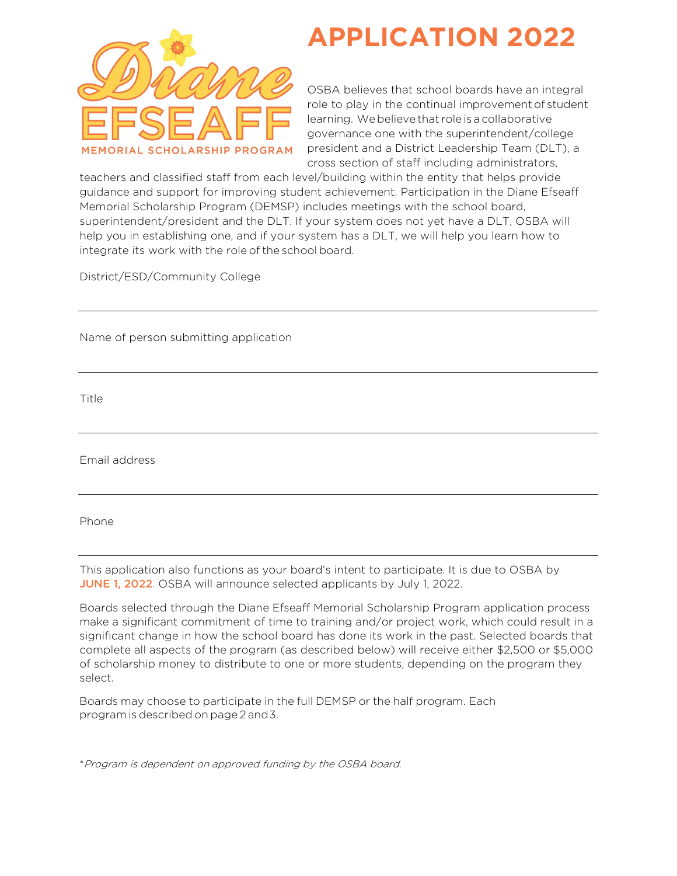

# **APPLICATION 2022**

OSBA believes that school boards have an integral role to play in the continual improvement of student learning. Webelieve that role is a collaborative governance one with the superintendent/college president and a District Leadership Team (DLT), a cross section of staff including administrators,

teachers and classified staff from each level/building within the entity that helps provide guidance and support for improving student achievement. Participation in the Diane Efseaff Memorial Scholarship Program (DEMSP) includes meetings with the school board, superintendent/president and the DLT. If your system does not yet have a DLT, OSBA will help you in establishing one, and if your system has a DLT, we will help you learn how to integrate its work with the role of the school board.

District/ESD/Community College

Name of person submitting application

Title

Email address

Phone

This application also functions as your board's intent to participate. It is due to OSBA by JUNE 1, 2022. OSBA will announce selected applicants by July 1, 2022.

Boards selected through the Diane Efseaff Memorial Scholarship Program application process make a significant commitment of time to training and/or project work, which could result in a significant change in how the school board has done its work in the past. Selected boards that complete all aspects of the program (as described below) will receive either \$2,500 or \$5,000 of scholarship money to distribute to one or more students, depending on the program they select.

Boards may choose to participate in the full DEMSP or the half program. Each program is described on page 2 and 3.

\*Program is dependent on approved funding by the OSBA board.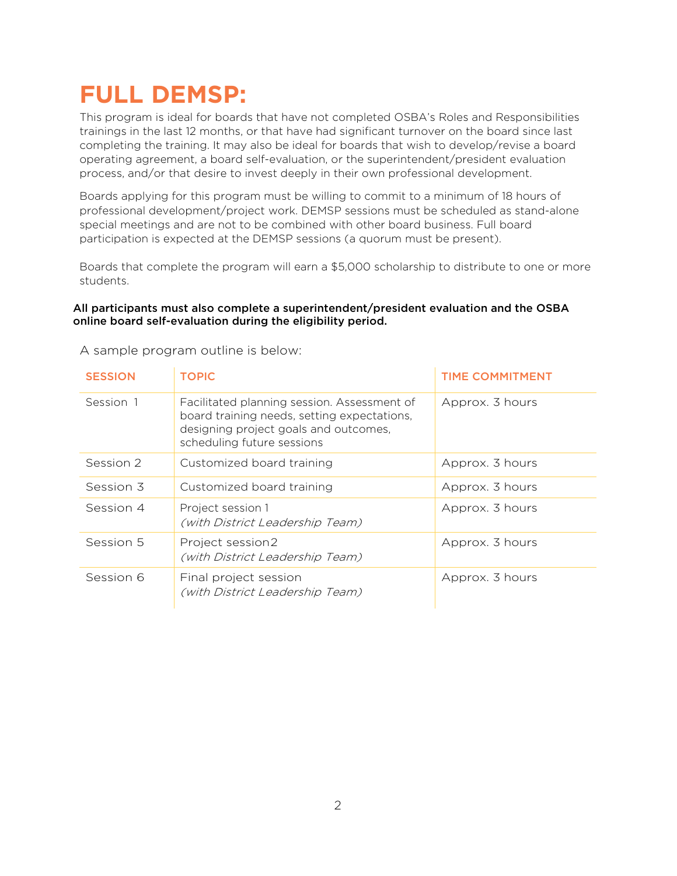## **FULL DEMSP:**

This program is ideal for boards that have not completed OSBA's Roles and Responsibilities trainings in the last 12 months, or that have had significant turnover on the board since last completing the training. It may also be ideal for boards that wish to develop/revise a board operating agreement, a board self-evaluation, or the superintendent/president evaluation process, and/or that desire to invest deeply in their own professional development.

Boards applying for this program must be willing to commit to a minimum of 18 hours of professional development/project work. DEMSP sessions must be scheduled as stand-alone special meetings and are not to be combined with other board business. Full board participation is expected at the DEMSP sessions (a quorum must be present).

Boards that complete the program will earn a \$5,000 scholarship to distribute to one or more students.

### All participants must also complete a superintendent/president evaluation and the OSBA online board self-evaluation during the eligibility period.

| <b>SESSION</b> | <b>TOPIC</b>                                                                                                                                                      | <b>TIME COMMITMENT</b> |
|----------------|-------------------------------------------------------------------------------------------------------------------------------------------------------------------|------------------------|
| Session 1      | Facilitated planning session. Assessment of<br>board training needs, setting expectations,<br>designing project goals and outcomes,<br>scheduling future sessions | Approx. 3 hours        |
| Session 2      | Customized board training                                                                                                                                         | Approx. 3 hours        |
| Session 3      | Customized board training                                                                                                                                         | Approx. 3 hours        |
| Session 4      | Project session 1<br>(with District Leadership Team)                                                                                                              | Approx. 3 hours        |
| Session 5      | Project session2<br>(with District Leadership Team)                                                                                                               | Approx. 3 hours        |
| Session 6      | Final project session<br>(with District Leadership Team)                                                                                                          | Approx. 3 hours        |

A sample program outline is below: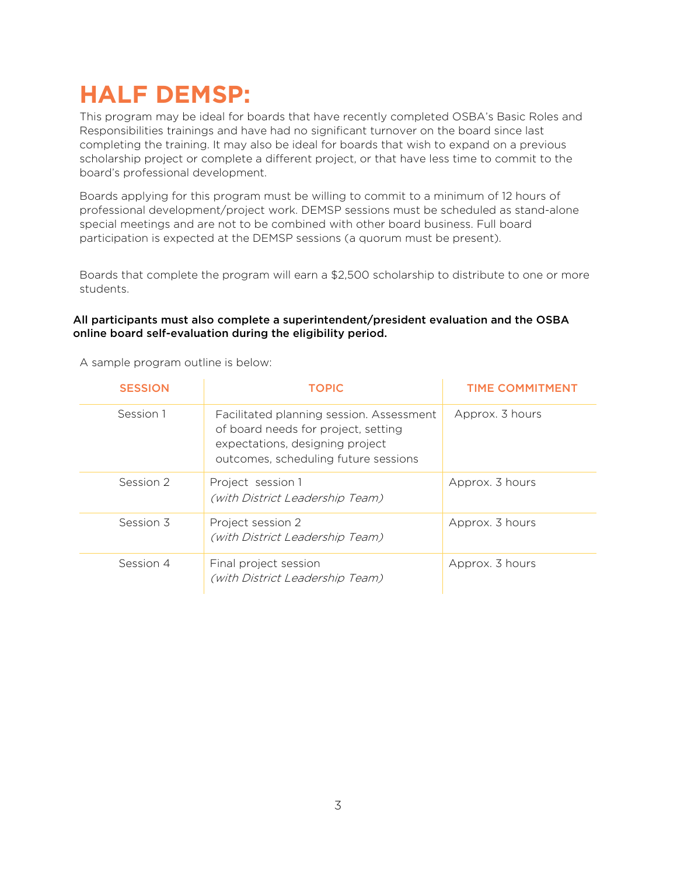# **HALF DEMSP:**

This program may be ideal for boards that have recently completed OSBA's Basic Roles and Responsibilities trainings and have had no significant turnover on the board since last completing the training. It may also be ideal for boards that wish to expand on a previous scholarship project or complete a different project, or that have less time to commit to the board's professional development.

Boards applying for this program must be willing to commit to a minimum of 12 hours of professional development/project work. DEMSP sessions must be scheduled as stand-alone special meetings and are not to be combined with other board business. Full board participation is expected at the DEMSP sessions (a quorum must be present).

Boards that complete the program will earn a \$2,500 scholarship to distribute to one or more students.

#### All participants must also complete a superintendent/president evaluation and the OSBA online board self-evaluation during the eligibility period.

| <b>SESSION</b> | <b>TOPIC</b>                                                                                                                                               | <b>TIME COMMITMENT</b> |
|----------------|------------------------------------------------------------------------------------------------------------------------------------------------------------|------------------------|
| Session 1      | Facilitated planning session. Assessment<br>of board needs for project, setting<br>expectations, designing project<br>outcomes, scheduling future sessions | Approx. 3 hours        |
| Session 2      | Project session 1<br>(with District Leadership Team)                                                                                                       | Approx. 3 hours        |
| Session 3      | Project session 2<br>(with District Leadership Team)                                                                                                       | Approx. 3 hours        |
| Session 4      | Final project session<br>(with District Leadership Team)                                                                                                   | Approx. 3 hours        |

A sample program outline is below: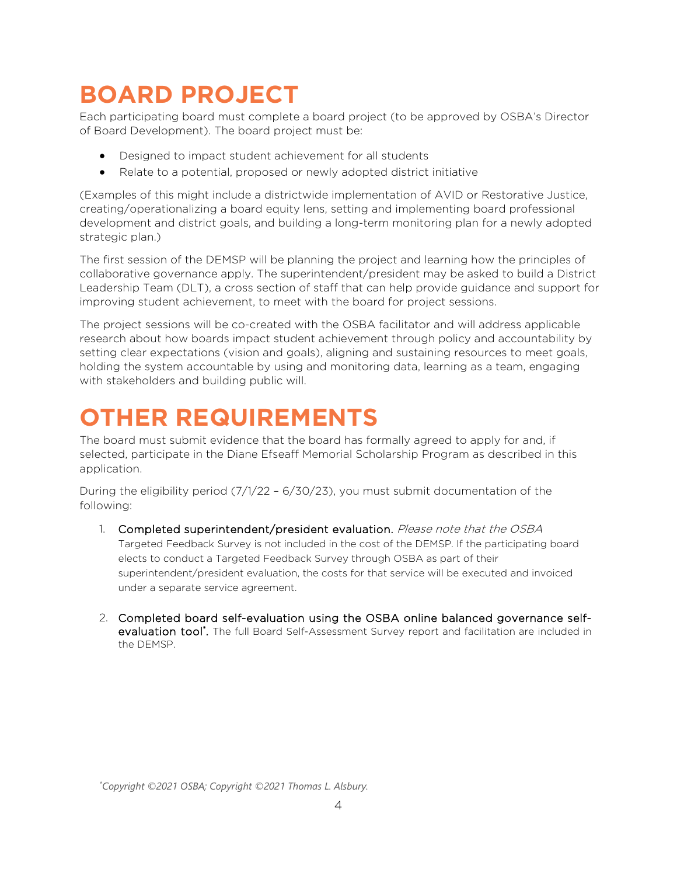# **BOARD PROJECT**

Each participating board must complete a board project (to be approved by OSBA's Director of Board Development). The board project must be:

- Designed to impact student achievement for all students
- Relate to a potential, proposed or newly adopted district initiative

(Examples of this might include a districtwide implementation of AVID or Restorative Justice, creating/operationalizing a board equity lens, setting and implementing board professional development and district goals, and building a long-term monitoring plan for a newly adopted strategic plan.)

The first session of the DEMSP will be planning the project and learning how the principles of collaborative governance apply. The superintendent/president may be asked to build a District Leadership Team (DLT), a cross section of staff that can help provide guidance and support for improving student achievement, to meet with the board for project sessions.

The project sessions will be co-created with the OSBA facilitator and will address applicable research about how boards impact student achievement through policy and accountability by setting clear expectations (vision and goals), aligning and sustaining resources to meet goals, holding the system accountable by using and monitoring data, learning as a team, engaging with stakeholders and building public will.

### **OTHER REQUIREMENTS**

The board must submit evidence that the board has formally agreed to apply for and, if selected, participate in the Diane Efseaff Memorial Scholarship Program as described in this application.

During the eligibility period (7/1/22 – 6/30/23), you must submit documentation of the following:

- 1. Completed superintendent/president evaluation. Please note that the OSBA Targeted Feedback Survey is not included in the cost of the DEMSP. If the participating board elects to conduct a Targeted Feedback Survey through OSBA as part of their superintendent/president evaluation, the costs for that service will be executed and invoiced under a separate service agreement.
- 2. Completed board self-evaluation using the OSBA online balanced governance selfevaluation tool<sup>\*</sup>. The full Board Self-Assessment Survey report and facilitation are included in the DEMSP.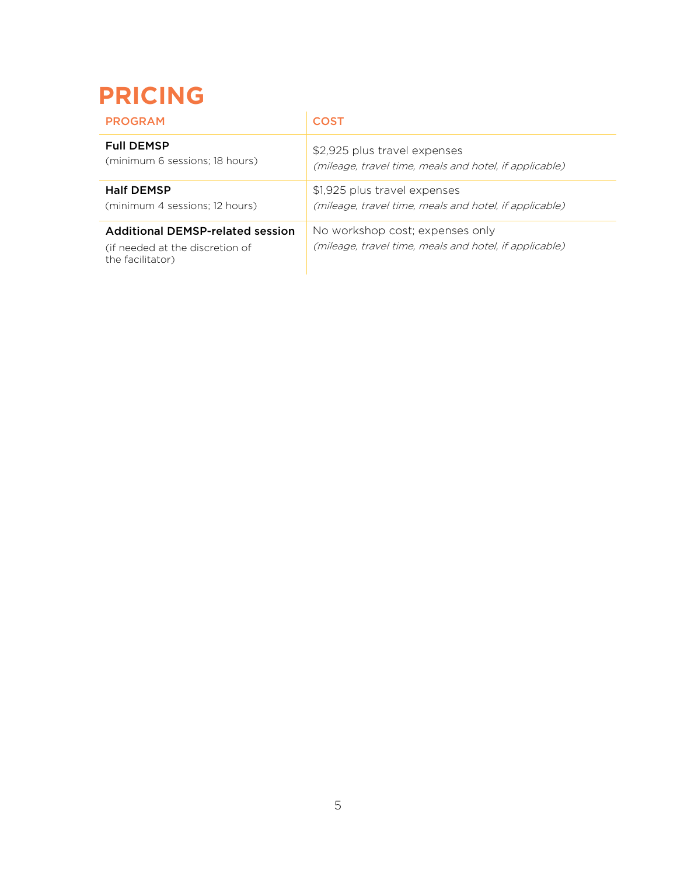# **PRICING**

| <b>PROGRAM</b>                                                                          | <b>COST</b>                                                                               |
|-----------------------------------------------------------------------------------------|-------------------------------------------------------------------------------------------|
| <b>Full DEMSP</b>                                                                       | \$2,925 plus travel expenses                                                              |
| (minimum 6 sessions; 18 hours)                                                          | (mileage, travel time, meals and hotel, if applicable)                                    |
| <b>Half DEMSP</b>                                                                       | \$1,925 plus travel expenses                                                              |
| (minimum 4 sessions; 12 hours)                                                          | (mileage, travel time, meals and hotel, if applicable)                                    |
| Additional DEMSP-related session<br>(if needed at the discretion of<br>the facilitator) | No workshop cost; expenses only<br>(mileage, travel time, meals and hotel, if applicable) |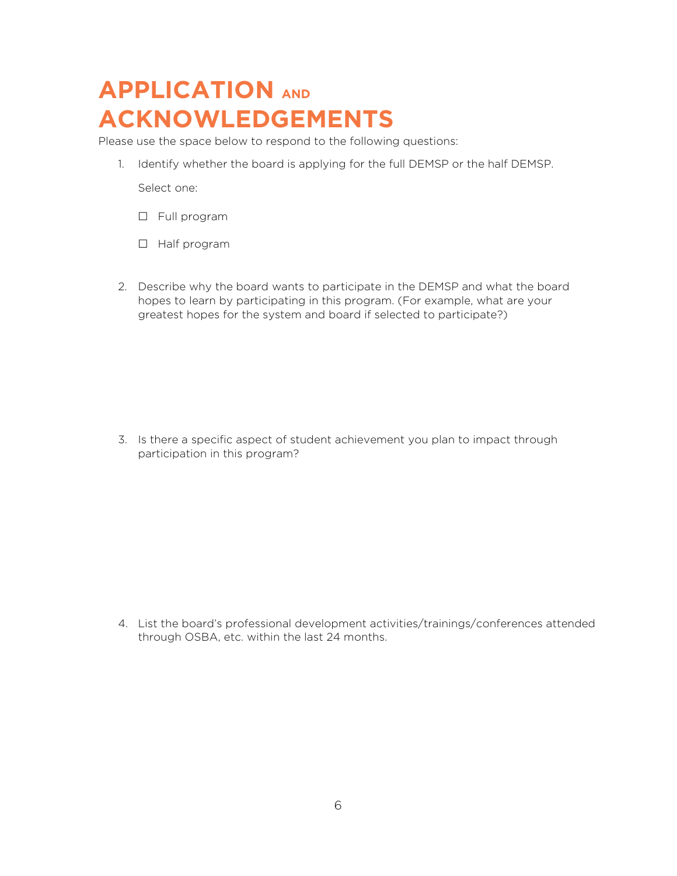### **APPLICATION AND ACKNOWLEDGEMENTS**

Please use the space below to respond to the following questions:

1. Identify whether the board is applying for the full DEMSP or the half DEMSP.

Select one:

- Full program
- Half program
- 2. Describe why the board wants to participate in the DEMSP and what the board hopes to learn by participating in this program. (For example, what are your greatest hopes for the system and board if selected to participate?)

3. Is there a specific aspect of student achievement you plan to impact through participation in this program?

4. List the board's professional development activities/trainings/conferences attended through OSBA, etc. within the last 24 months.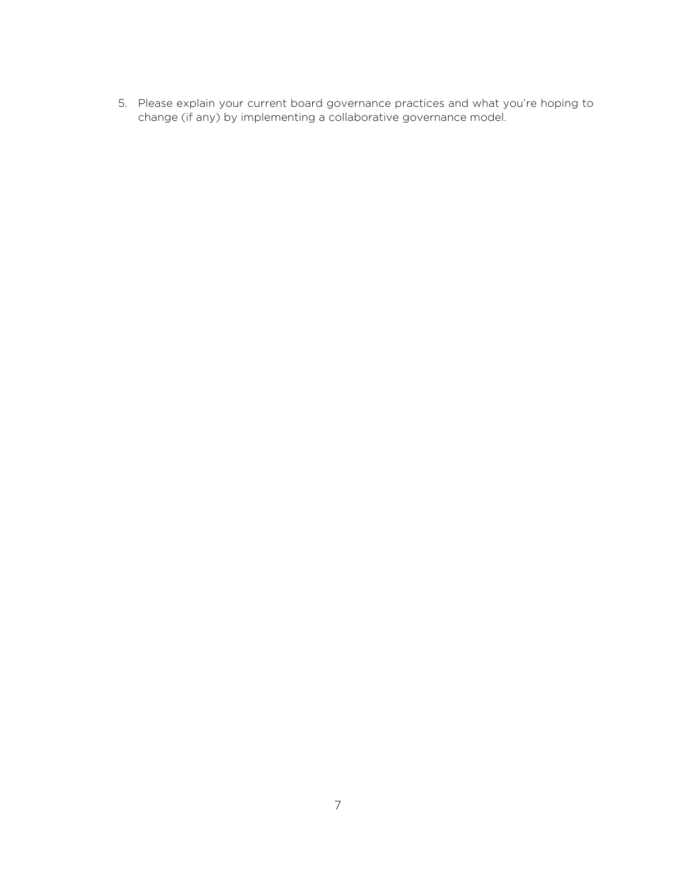5. Please explain your current board governance practices and what you're hoping to change (if any) by implementing a collaborative governance model.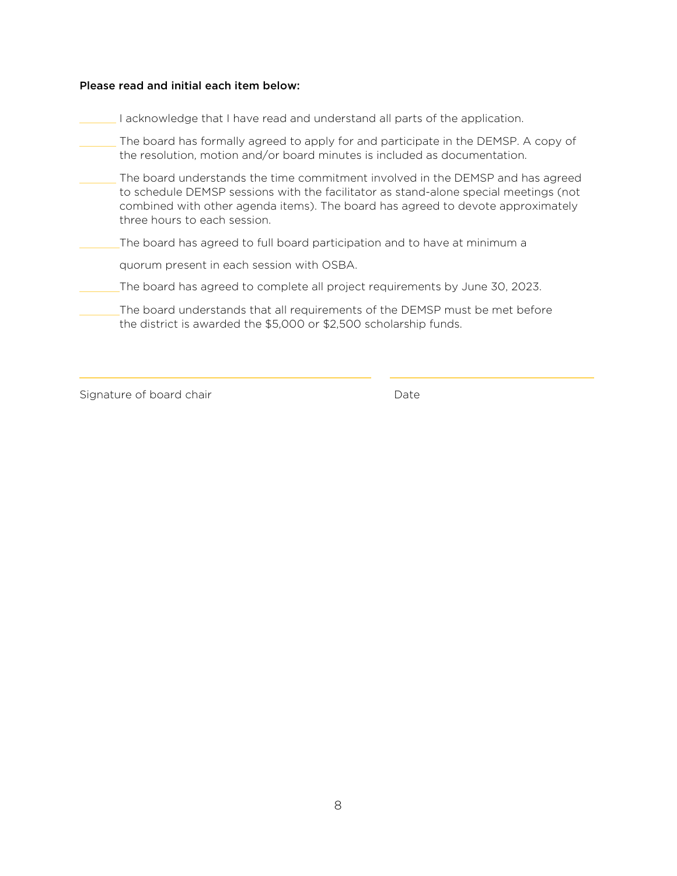#### Please read and initial each item below:

I acknowledge that I have read and understand all parts of the application.

The board has formally agreed to apply for and participate in the DEMSP. A copy of the resolution, motion and/or board minutes is included as documentation.

The board understands the time commitment involved in the DEMSP and has agreed to schedule DEMSP sessions with the facilitator as stand-alone special meetings (not combined with other agenda items). The board has agreed to devote approximately three hours to each session.

The board has agreed to full board participation and to have at minimum a

quorum present in each session with OSBA.

The board has agreed to complete all project requirements by June 30, 2023.

The board understands that all requirements of the DEMSP must be met before the district is awarded the \$5,000 or \$2,500 scholarship funds.

Signature of board chair **Date** Date